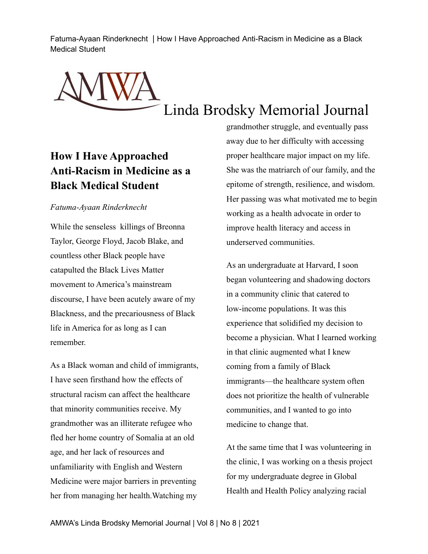Fatuma-Ayaan Rinderknecht | How I Have Approached Anti-Racism in Medicine as a Black Medical Student

Linda Brodsky Memorial Journal

## **How I Have Approached Anti-Racism in Medicine as a Black Medical Student**

## *Fatuma-Ayaan Rinderknecht*

While the senseless killings of Breonna Taylor, George Floyd, Jacob Blake, and countless other Black people have catapulted the Black Lives Matter movement to America's mainstream discourse, I have been acutely aware of my Blackness, and the precariousness of Black life in America for as long as I can remember.

As a Black woman and child of immigrants, I have seen firsthand how the effects of structural racism can affect the healthcare that minority communities receive. My grandmother was an illiterate refugee who fled her home country of Somalia at an old age, and her lack of resources and unfamiliarity with English and Western Medicine were major barriers in preventing her from managing her health.Watching my grandmother struggle, and eventually pass away due to her difficulty with accessing proper healthcare major impact on my life. She was the matriarch of our family, and the epitome of strength, resilience, and wisdom. Her passing was what motivated me to begin working as a health advocate in order to improve health literacy and access in underserved communities.

As an undergraduate at Harvard, I soon began volunteering and shadowing doctors in a community clinic that catered to low-income populations. It was this experience that solidified my decision to become a physician. What I learned working in that clinic augmented what I knew coming from a family of Black immigrants—the healthcare system often does not prioritize the health of vulnerable communities, and I wanted to go into medicine to change that.

At the same time that I was volunteering in the clinic, I was working on a thesis project for my undergraduate degree in Global Health and Health Policy analyzing racial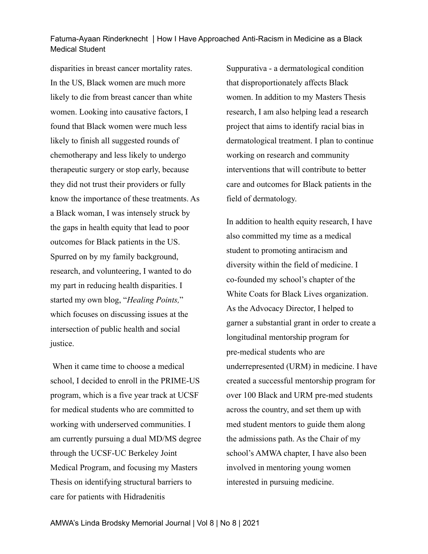Fatuma-Ayaan Rinderknecht | How I Have Approached Anti-Racism in Medicine as a Black Medical Student

disparities in breast cancer mortality rates. In the US, Black women are much more likely to die from breast cancer than white women. Looking into causative factors, I found that Black women were much less likely to finish all suggested rounds of chemotherapy and less likely to undergo therapeutic surgery or stop early, because they did not trust their providers or fully know the importance of these treatments. As a Black woman, I was intensely struck by the gaps in health equity that lead to poor outcomes for Black patients in the US. Spurred on by my family background, research, and volunteering, I wanted to do my part in reducing health disparities. I started my own blog, "*Healing Points,*" which focuses on discussing issues at the intersection of public health and social justice.

When it came time to choose a medical school, I decided to enroll in the PRIME-US program, which is a five year track at UCSF for medical students who are committed to working with underserved communities. I am currently pursuing a dual MD/MS degree through the UCSF-UC Berkeley Joint Medical Program, and focusing my Masters Thesis on identifying structural barriers to care for patients with Hidradenitis

Suppurativa - a dermatological condition that disproportionately affects Black women. In addition to my Masters Thesis research, I am also helping lead a research project that aims to identify racial bias in dermatological treatment. I plan to continue working on research and community interventions that will contribute to better care and outcomes for Black patients in the field of dermatology.

In addition to health equity research, I have also committed my time as a medical student to promoting antiracism and diversity within the field of medicine. I co-founded my school's chapter of the White Coats for Black Lives organization. As the Advocacy Director, I helped to garner a substantial grant in order to create a longitudinal mentorship program for pre-medical students who are underrepresented (URM) in medicine. I have created a successful mentorship program for over 100 Black and URM pre-med students across the country, and set them up with med student mentors to guide them along the admissions path. As the Chair of my school's AMWA chapter, I have also been involved in mentoring young women interested in pursuing medicine.